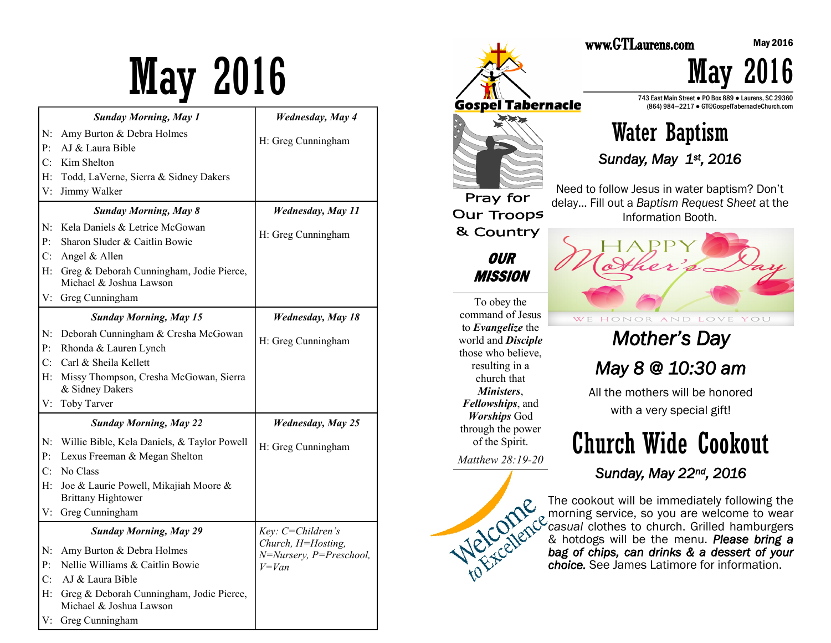# May 2016

|                               | <b>Sunday Morning, May 1</b>                                        | <b>Wednesday</b> , May 4             |
|-------------------------------|---------------------------------------------------------------------|--------------------------------------|
| N:                            | Amy Burton & Debra Holmes                                           |                                      |
| P <sub>1</sub>                | AJ & Laura Bible                                                    | H: Greg Cunningham                   |
| C:                            | Kim Shelton                                                         |                                      |
| H:                            | Todd, LaVerne, Sierra & Sidney Dakers                               |                                      |
| V:                            | Jimmy Walker                                                        |                                      |
|                               | <b>Sunday Morning, May 8</b>                                        | <b>Wednesday, May 11</b>             |
| N:                            | Kela Daniels & Letrice McGowan                                      | H: Greg Cunningham                   |
| $P$ :                         | Sharon Sluder & Caitlin Bowie                                       |                                      |
| C:                            | Angel & Allen                                                       |                                      |
| H:                            | Greg & Deborah Cunningham, Jodie Pierce,<br>Michael & Joshua Lawson |                                      |
| V:                            | Greg Cunningham                                                     |                                      |
|                               | <b>Sunday Morning, May 15</b>                                       | <b>Wednesday</b> , May 18            |
| $N$ :                         | Deborah Cunningham & Cresha McGowan                                 |                                      |
| $P$ :                         | Rhonda & Lauren Lynch                                               | H: Greg Cunningham                   |
| C:                            | Carl & Sheila Kellett                                               |                                      |
| H:                            | Missy Thompson, Cresha McGowan, Sierra<br>& Sidney Dakers           |                                      |
| V:                            | Toby Tarver                                                         |                                      |
| <b>Sunday Morning, May 22</b> |                                                                     | <b>Wednesday, May 25</b>             |
| N:                            | Willie Bible, Kela Daniels, & Taylor Powell                         | H: Greg Cunningham                   |
| P <sub>1</sub>                | Lexus Freeman & Megan Shelton                                       |                                      |
| C:                            | No Class                                                            |                                      |
| H:                            | Joe & Laurie Powell, Mikajiah Moore &<br><b>Brittany Hightower</b>  |                                      |
|                               | V: Greg Cunningham                                                  |                                      |
| <b>Sunday Morning, May 29</b> |                                                                     | Key: C=Children's                    |
| N:                            | Amy Burton & Debra Holmes                                           | Church, H=Hosting,                   |
| P:                            | Nellie Williams & Caitlin Bowie                                     | N=Nursery, P=Preschool,<br>$V = Van$ |
| C:                            | AJ & Laura Bible                                                    |                                      |
| H:                            | Greg & Deborah Cunningham, Jodie Pierce,<br>Michael & Joshua Lawson |                                      |
| V:                            | Greg Cunningham                                                     |                                      |



May 2016

May 2016

743 East Main Street ● PO Box 889 ● Laurens, SC 29360 (864) 984—2217 ● GT@GospelTabernacleChurch.com

# Water Baptism

*Sunday, May 1st, 2016* 

Need to follow Jesus in water baptism? Don't delay… Fill out a *Baptism Request Sheet* at the Information Booth.



*Mother's Day May 8 @ 10:30 am* 

All the mothers will be honored with a very special gift!

# Church Wide Cookout

*Sunday, May 22nd, 2016* 

The cookout will be immediately following the morning service, so you are welcome to wear *casual* clothes to church. Grilled hamburgers & hotdogs will be the menu. *Please bring a bag of chips, can drinks & a dessert of your choice.* See James Latimore for information.